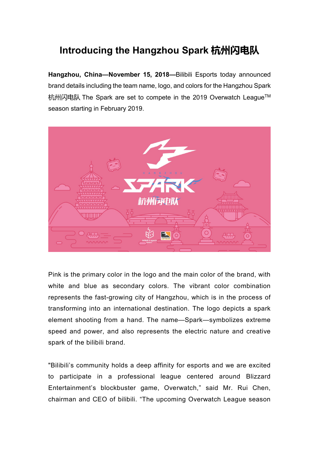## **Introducing the Hangzhou Spark 杭州闪电队**

**Hangzhou, China—November 15, 2018—**Bilibili Esports today announced brand details including the team name, logo, and colors for the Hangzhou Spark 杭州闪电队 The Spark are set to compete in the 2019 Overwatch League™ season starting in February 2019.



Pink is the primary color in the logo and the main color of the brand, with white and blue as secondary colors. The vibrant color combination represents the fast-growing city of Hangzhou, which is in the process of transforming into an international destination. The logo depicts a spark element shooting from a hand. The name—Spark—symbolizes extreme speed and power, and also represents the electric nature and creative spark of the bilibili brand.

"Bilibili's community holds a deep affinity for esports and we are excited to participate in a professional league centered around Blizzard Entertainment's blockbuster game, Overwatch," said Mr. Rui Chen, chairman and CEO of bilibili. "The upcoming Overwatch League season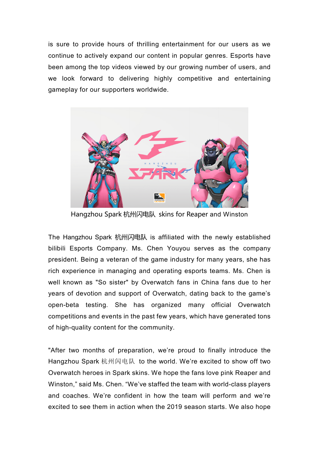is sure to provide hours of thrilling entertainment for our users as we continue to actively expand our content in popular genres. Esports have been among the top videos viewed by our growing number of users, and we look forward to delivering highly competitive and entertaining gameplay for our supporters worldwide.



Hangzhou Spark 杭州闪电队 skins for Reaper and Winston

The Hangzhou Spark 杭州闪电队 is affiliated with the newly established bilibili Esports Company. Ms. Chen Youyou serves as the company president. Being a veteran of the game industry for many years, she has rich experience in managing and operating esports teams. Ms. Chen is well known as "So sister" by Overwatch fans in China fans due to her years of devotion and support of Overwatch, dating back to the game's open-beta testing. She has organized many official Overwatch competitions and events in the past few years, which have generated tons of high-quality content for the community.

"After two months of preparation, we're proud to finally introduce the Hangzhou Spark 杭州闪电队 to the world. We're excited to show off two Overwatch heroes in Spark skins. We hope the fans love pink Reaper and Winston," said Ms. Chen. "We've staffed the team with world-class players and coaches. We're confident in how the team will perform and we're excited to see them in action when the 2019 season starts. We also hope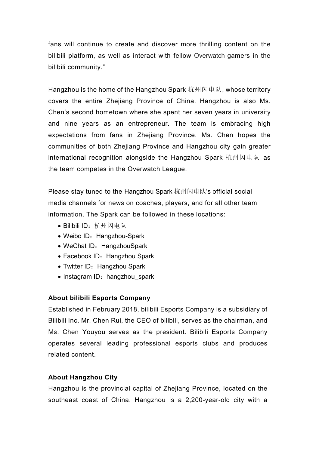fans will continue to create and discover more thrilling content on the bilibili platform, as well as interact with fellow Overwatch gamers in the bilibili community."

Hangzhou is the home of the Hangzhou Spark 杭州闪电队, whose territory covers the entire Zhejiang Province of China. Hangzhou is also Ms. Chen's second hometown where she spent her seven years in university and nine years as an entrepreneur. The team is embracing high expectations from fans in Zhejiang Province. Ms. Chen hopes the communities of both Zhejiang Province and Hangzhou city gain greater international recognition alongside the Hangzhou Spark 杭州闪电队 as the team competes in the Overwatch League.

Please stay tuned to the Hangzhou Spark 杭州闪电队's official social media channels for news on coaches, players, and for all other team information. The Spark can be followed in these locations:

- Bilibili ID: 杭州闪电队
- Weibo ID: Hangzhou-Spark
- WeChat ID: HangzhouSpark
- Facebook ID: Hangzhou Spark
- Twitter ID: Hangzhou Spark
- Instagram ID: hangzhou spark

## **About bilibili Esports Company**

Established in February 2018, bilibili Esports Company is a subsidiary of Bilibili Inc. Mr. Chen Rui, the CEO of bilibili, serves as the chairman, and Ms. Chen Youyou serves as the president. Bilibili Esports Company operates several leading professional esports clubs and produces related content.

## **About Hangzhou City**

Hangzhou is the provincial capital of Zhejiang Province, located on the southeast coast of China. Hangzhou is a 2,200-year-old city with a